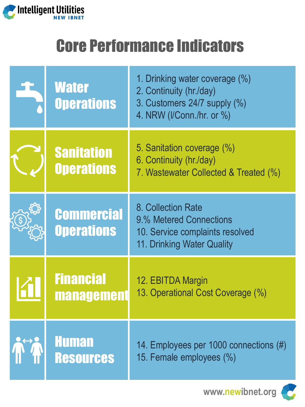

## Core Performance Indicators

| <b>Water</b><br><b>Operations</b>      | 1. Drinking water coverage (%)<br>2. Continuity (hr./day)<br>3. Customers 24/7 supply (%)<br>4. NRW (I/Conn./hr. or %) |
|----------------------------------------|------------------------------------------------------------------------------------------------------------------------|
| <b>Sanitation</b><br><b>Operations</b> | 5. Sanitation coverage (%)<br>6. Continuity (hr./day)<br>7. Wastewater Collected & Treated (%)                         |
| <b>Commercial</b><br><b>Operations</b> | 8. Collection Rate<br>9.% Metered Connections<br>10. Service complaints resolved<br>11. Drinking Water Quality         |
| <b>Financial</b><br><b>management</b>  | 12. EBITDA Margin<br>13. Operational Cost Coverage (%)                                                                 |
| <b>Human</b><br><b>Resources</b>       | 14. Employees per 1000 connections (#)<br>15. Female employees (%)                                                     |

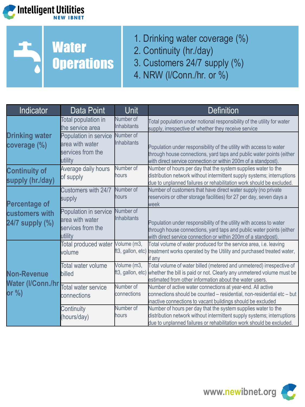



- 1. Drinking water coverage (%)
- 2. Continuity (hr./day)
- 3. Customers 24/7 supply (%)
- 4. NRW (l/Conn./hr. or %)

| Indicator                                                 | Data Point                                                               | Unit                             | <b>Definition</b>                                                                                                                                                                                                |
|-----------------------------------------------------------|--------------------------------------------------------------------------|----------------------------------|------------------------------------------------------------------------------------------------------------------------------------------------------------------------------------------------------------------|
|                                                           | Total population in<br>the service area                                  | Number of<br><b>Inhabitants</b>  | Total population under notional responsibility of the utility for water<br>supply, irrespective of whether they receive service                                                                                  |
| <b>Drinking water</b><br>coverage (%)                     | Population in service<br>area with water<br>services from the<br>utility | Number of<br><b>Inhabitants</b>  | Population under responsibility of the utility with access to water<br>through house connections, yard taps and public water points (either<br>with direct service connection or within 200m of a standpost).    |
| <b>Continuity of</b><br>supply (hr./day)                  | Average daily hours<br>of supply                                         | Number of<br>hours               | Number of hours per day that the system supplies water to the<br>distribution network without intermittent supply systems; interruptions<br>due to unplanned failures or rehabilitation work should be excluded. |
| <b>Percentage of</b><br>customers with<br>24/7 supply (%) | Customers with 24/7<br>supply                                            | Number of<br>hours               | Number of customers that have direct water supply (no private<br>reservoirs or other storage facilities) for 27 per day, seven days a<br>week                                                                    |
|                                                           | Population in service<br>area with water<br>services from the<br>utility | Number of<br><b>Inhabitants</b>  | Population under responsibility of the utility with access to water<br>through house connections, yard taps and public water points (either<br>with direct service connection or within 200m of a standpost).    |
|                                                           | Total produced water Volume (m3,<br>volume                               | ft3, gallon, etc)                | Total volume of water produced for the service area, i.e. leaving<br>treatment works operated by the Utility and purchased treated water,<br>if anv                                                              |
| <b>Non-Revenue</b><br>Water (I/Conn./hr                   | Total water volume<br>billed                                             | Volume (m3,<br>ft3, gallon, etc) | Total volume of water billed (metered and unmetered) irrespective of<br>whether the bill is paid or not. Clearly any unmetered volume must be<br>estimated from other information about the water users.         |
| or %)                                                     | <b>Total water service</b><br>connections                                | Number of<br>connections         | Number of active water connections at year-end. All active<br>connections should be counted - residential, non-residential etc - but<br>inactive connections to vacant buildings should be excluded              |
|                                                           | Continuity<br>(hours/day)                                                | Number of<br>hours               | Number of hours per day that the system supplies water to the<br>distribution network without intermittent supply systems; interruptions<br>due to unplanned failures or rehabilitation work should be excluded. |

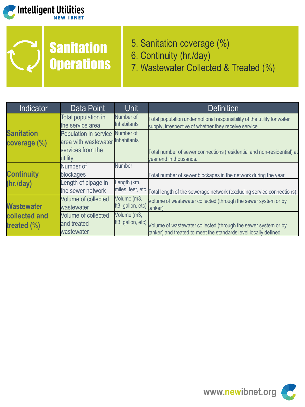



- 5. Sanitation coverage (%)
- 6. Continuity (hr./day)
- 7. Wastewater Collected & Treated (%)

| <b>Indicator</b>                  | Data Point                                                         | <b>Unit</b>                     | <b>Definition</b>                                                                                                               |
|-----------------------------------|--------------------------------------------------------------------|---------------------------------|---------------------------------------------------------------------------------------------------------------------------------|
| <b>Sanitation</b><br>coverage (%) | <b>Total population in</b><br>the service area                     | Number of<br><b>Inhabitants</b> | Total population under notional responsibility of the utility for water<br>supply, irrespective of whether they receive service |
|                                   | Population in service<br>area with wastewater<br>services from the | Number of<br><b>Inhabitants</b> | Total number of sewer connections (residential and non-residential) at                                                          |
|                                   | utility                                                            |                                 | year end in thousands.                                                                                                          |
|                                   | Number of                                                          | <b>Number</b>                   |                                                                                                                                 |
| <b>Continuity</b>                 | blockages                                                          |                                 | Total number of sewer blockages in the network during the year                                                                  |
| (hr./day)                         | ength of pipage in                                                 | ength (km,                      |                                                                                                                                 |
|                                   | the sewer network                                                  | miles, feet, etc.               | Total length of the sewerage network (excluding service connections).                                                           |
|                                   | <b>Volume of collected</b>                                         | Volume (m3,                     | Volume of wastewater collected (through the sewer system or by                                                                  |
| <b>Wastewater</b>                 | wastewater                                                         | ft3, gallon, etc)               | tanker)                                                                                                                         |
| collected and                     | Volume of collected                                                | Volume (m3,                     |                                                                                                                                 |
| treated (%)                       | and treated                                                        | ft3, gallon, etc)               | Volume of wastewater collected (through the sewer system or by                                                                  |
|                                   | wastewater                                                         |                                 | tanker) and treated to meet the standards level locally defined                                                                 |

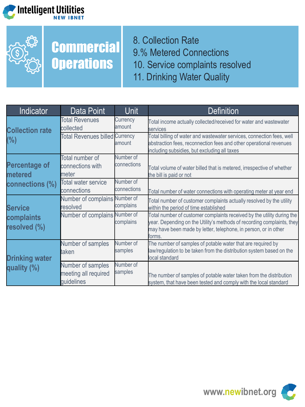



## **Commercial Operations**

8. Collection Rate 9.% Metered Connections 10. Service complaints resolved 11. Drinking Water Quality

| Indicator                                          | Data Point                                              | Unit                     | <b>Definition</b>                                                                                                                                                                                                             |
|----------------------------------------------------|---------------------------------------------------------|--------------------------|-------------------------------------------------------------------------------------------------------------------------------------------------------------------------------------------------------------------------------|
| <b>Collection rate</b><br>(%)                      | <b>Total Revenues</b><br>collected                      | Currency<br>amount       | Total income actually collected/received for water and wastewater<br>services                                                                                                                                                 |
|                                                    | <b>Total Revenues billed Currency</b>                   | amount                   | Total billing of water and wastewater services, connection fees, well<br>abstraction fees, reconnection fees and other operational revenues<br>including subsidies, but excluding all taxes                                   |
| <b>Percentage of</b><br>metered<br>connections (%) | Total number of<br>connections with<br>meter            | Number of<br>connections | Total volume of water billed that is metered, irrespective of whether<br>the bill is paid or not                                                                                                                              |
|                                                    | Total water service<br>connections                      | Number of<br>connections | Total number of water connections with operating meter at year end                                                                                                                                                            |
| <b>Service</b>                                     | Number of complains Number of<br>resolved               | complains                | Total number of customer complaints actually resolved by the utility<br>within the period of time established                                                                                                                 |
| complaints<br>resolved (%)                         | Number of complains Number of                           | complains                | Total number of customer complaints received by the utility during the<br>year. Depending on the Utility's methods of recording complaints, they<br>may have been made by letter, telephone, in person, or in other<br>forms. |
| <b>Drinking water</b><br>quality (%)               | Number of samples<br>taken                              | Number of<br>samples     | The number of samples of potable water that are required by<br>law/regulation to be taken from the distribution system based on the<br>local standard                                                                         |
|                                                    | Number of samples<br>meeting all required<br>quidelines | Number of<br>samples     | The number of samples of potable water taken from the distribution<br>system, that have been tested and comply with the local standard                                                                                        |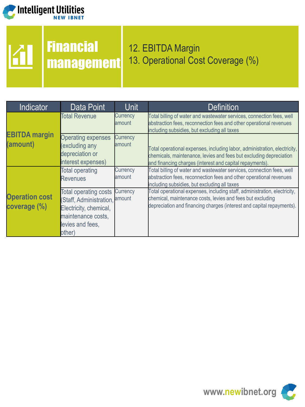

# *Confident Utilities*

**Financial** 

#### management 12. EBITDA Margin 13. Operational Cost Coverage (%)

| <b>Indicator</b>                      | Data Point                                                                                                                                   | <b>Unit</b>        | <b>Definition</b>                                                                                                                                                                                                |
|---------------------------------------|----------------------------------------------------------------------------------------------------------------------------------------------|--------------------|------------------------------------------------------------------------------------------------------------------------------------------------------------------------------------------------------------------|
|                                       | <b>Total Revenue</b>                                                                                                                         | Currency<br>amount | Total billing of water and wastewater services, connection fees, well<br>abstraction fees, reconnection fees and other operational revenues<br>including subsidies, but excluding all taxes                      |
| <b>EBITDA</b> margin<br>(amount)      | <b>Operating expenses</b><br>(excluding any<br>depreciation or<br>interest expenses)                                                         | Currency<br>amount | Total operational expenses, including labor, administration, electricity,<br>chemicals, maintenance, levies and fees but excluding depreciation<br>and financing charges (interest and capital repayments).      |
|                                       | <b>Total operating</b><br><b>Revenues</b>                                                                                                    | Currency<br>amount | Total billing of water and wastewater services, connection fees, well<br>abstraction fees, reconnection fees and other operational revenues<br>including subsidies, but excluding all taxes                      |
| <b>Operation cost</b><br>coverage (%) | <b>Total operating costs</b><br>(Staff, Administration, amount<br>Electricity, chemical,<br>maintenance costs,<br>levies and fees,<br>other) | Currency           | Total operational expenses, including staff, administration, electricity,<br>chemical, maintenance costs, levies and fees but excluding<br>depreciation and financing charges (interest and capital repayments). |